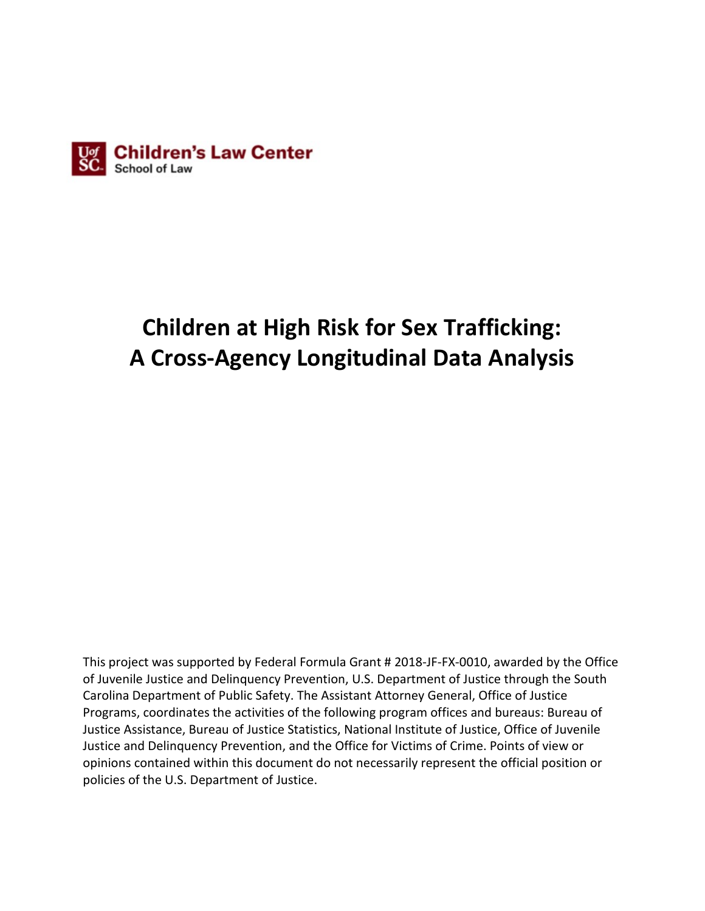

# **Children at High Risk for Sex Trafficking: A Cross-Agency Longitudinal Data Analysis**

This project was supported by Federal Formula Grant # 2018-JF-FX-0010, awarded by the Office of Juvenile Justice and Delinquency Prevention, U.S. Department of Justice through the South Carolina Department of Public Safety. The Assistant Attorney General, Office of Justice Programs, coordinates the activities of the following program offices and bureaus: Bureau of Justice Assistance, Bureau of Justice Statistics, National Institute of Justice, Office of Juvenile Justice and Delinquency Prevention, and the Office for Victims of Crime. Points of view or opinions contained within this document do not necessarily represent the official position or policies of the U.S. Department of Justice.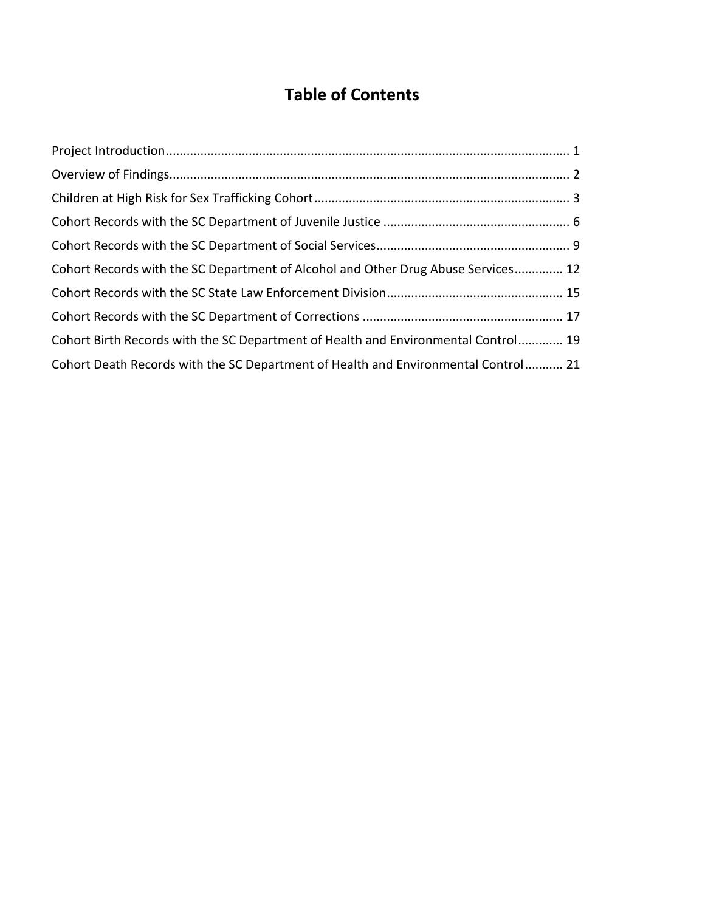## **Table of Contents**

| Cohort Records with the SC Department of Alcohol and Other Drug Abuse Services 12  |  |
|------------------------------------------------------------------------------------|--|
|                                                                                    |  |
|                                                                                    |  |
| Cohort Birth Records with the SC Department of Health and Environmental Control 19 |  |
| Cohort Death Records with the SC Department of Health and Environmental Control 21 |  |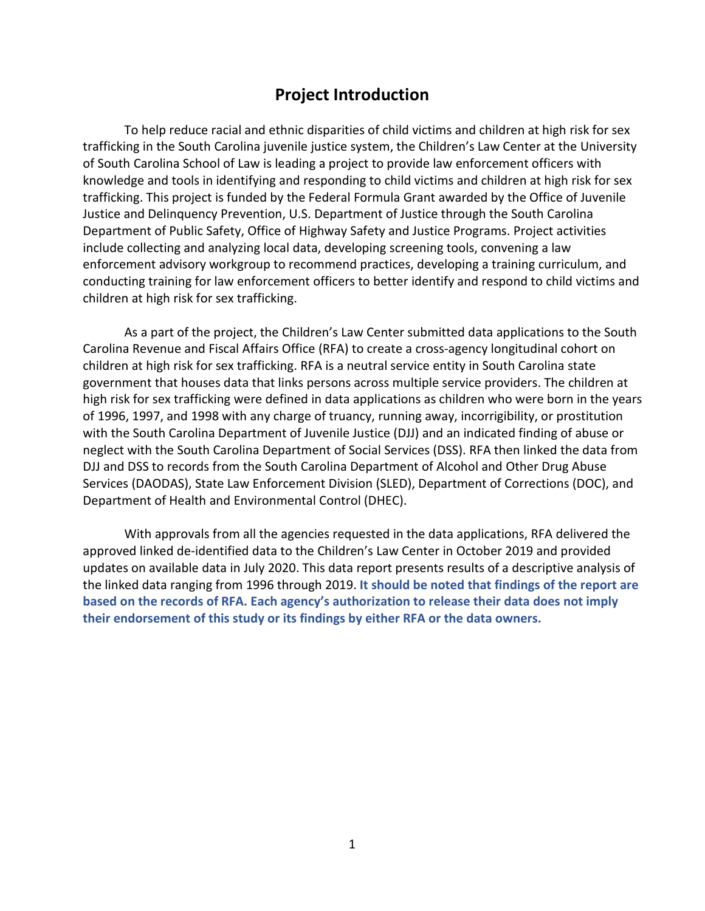### **Project Introduction**

<span id="page-3-0"></span>To help reduce racial and ethnic disparities of child victims and children at high risk for sex trafficking in the South Carolina juvenile justice system, the Children's Law Center at the University of South Carolina School of Law is leading a project to provide law enforcement officers with knowledge and tools in identifying and responding to child victims and children at high risk for sex trafficking. This project is funded by the Federal Formula Grant awarded by the Office of Juvenile Justice and Delinquency Prevention, U.S. Department of Justice through the South Carolina Department of Public Safety, Office of Highway Safety and Justice Programs. Project activities include collecting and analyzing local data, developing screening tools, convening a law enforcement advisory workgroup to recommend practices, developing a training curriculum, and conducting training for law enforcement officers to better identify and respond to child victims and children at high risk for sex trafficking.

As a part of the project, the Children's Law Center submitted data applications to the South Carolina Revenue and Fiscal Affairs Office (RFA) to create a cross-agency longitudinal cohort on children at high risk for sex trafficking. RFA is a neutral service entity in South Carolina state government that houses data that links persons across multiple service providers. The children at high risk for sex trafficking were defined in data applications as children who were born in the years of 1996, 1997, and 1998 with any charge of truancy, running away, incorrigibility, or prostitution with the South Carolina Department of Juvenile Justice (DJJ) and an indicated finding of abuse or neglect with the South Carolina Department of Social Services (DSS). RFA then linked the data from DJJ and DSS to records from the South Carolina Department of Alcohol and Other Drug Abuse Services (DAODAS), State Law Enforcement Division (SLED), Department of Corrections (DOC), and Department of Health and Environmental Control (DHEC).

With approvals from all the agencies requested in the data applications, RFA delivered the approved linked de-identified data to the Children's Law Center in October 2019 and provided updates on available data in July 2020. This data report presents results of a descriptive analysis of the linked data ranging from 1996 through 2019. **It should be noted that findings of the report are based on the records of RFA. Each agency's authorization to release their data does not imply their endorsement of this study or its findings by either RFA or the data owners.**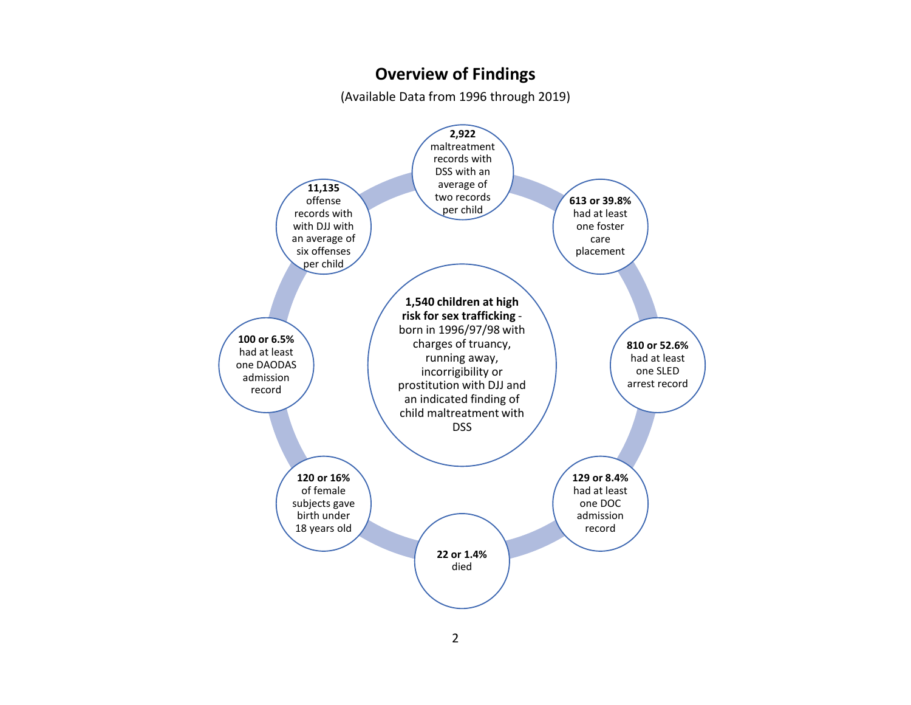### **Overview of Findings**

(Available Data from 1996 through 2019)

<span id="page-4-0"></span>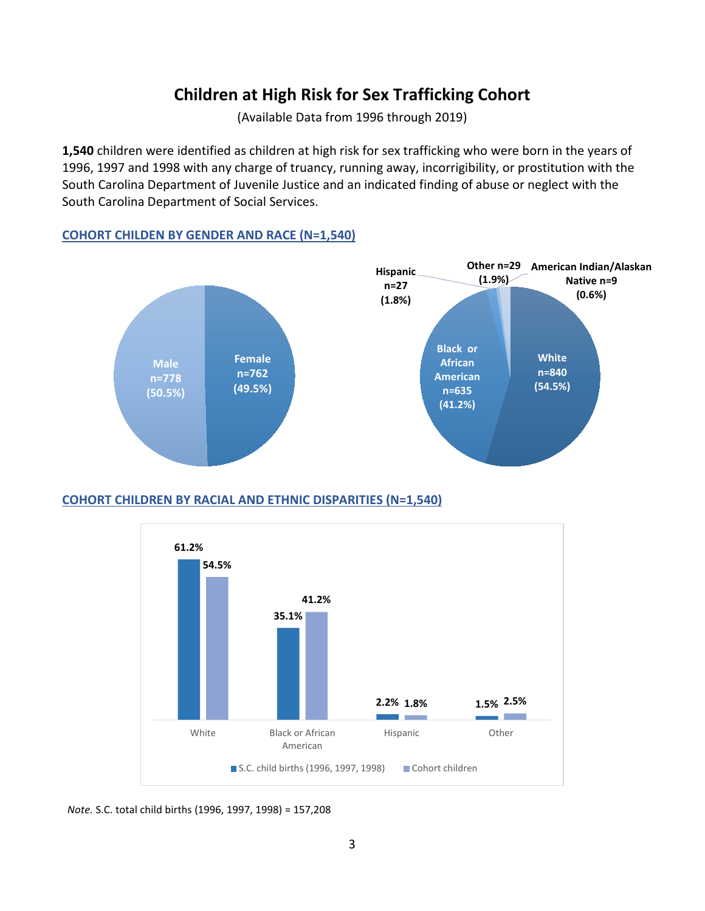### **Children at High Risk for Sex Trafficking Cohort**

(Available Data from 1996 through 2019)

<span id="page-5-0"></span>**1,540** children were identified as children at high risk for sex trafficking who were born in the years of 1996, 1997 and 1998 with any charge of truancy, running away, incorrigibility, or prostitution with the South Carolina Department of Juvenile Justice and an indicated finding of abuse or neglect with the South Carolina Department of Social Services.

#### **COHORT CHILDEN BY GENDER AND RACE (N=1,540)**



#### **COHORT CHILDREN BY RACIAL AND ETHNIC DISPARITIES (N=1,540)**



 *Note.* S.C. total child births (1996, 1997, 1998) = 157,208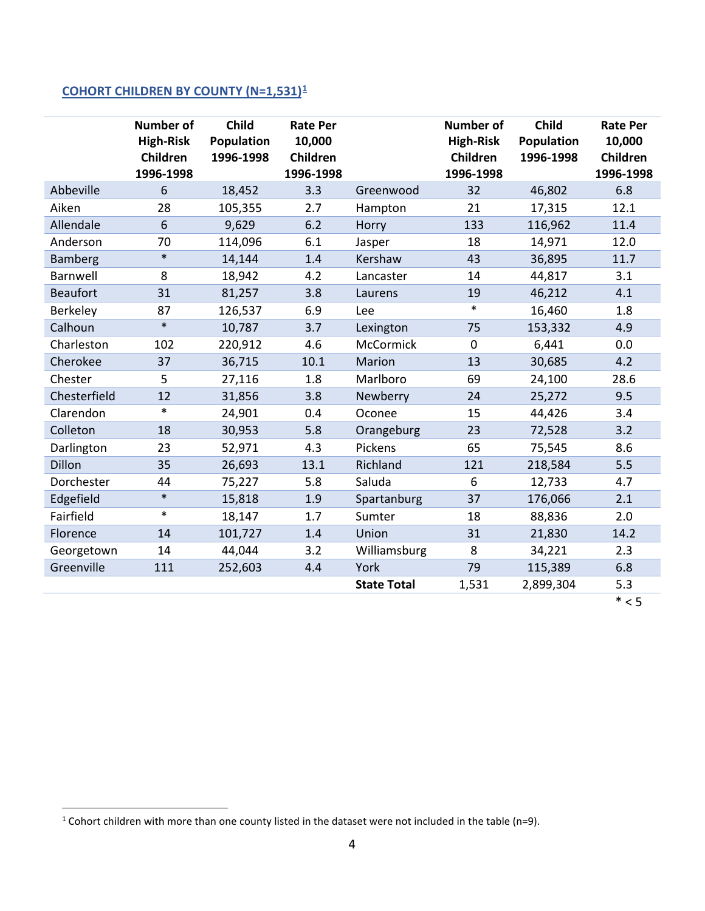### **COHORT CHILDREN BY COUNTY (N=1,531)[1](#page-6-0)**

|                 | <b>Number of</b><br><b>High-Risk</b><br>Children<br>1996-1998 | Child<br><b>Population</b><br>1996-1998 | <b>Rate Per</b><br>10,000<br>Children<br>1996-1998 |                    | <b>Number of</b><br><b>High-Risk</b><br>Children<br>1996-1998 | Child<br><b>Population</b><br>1996-1998 | <b>Rate Per</b><br>10,000<br>Children<br>1996-1998 |
|-----------------|---------------------------------------------------------------|-----------------------------------------|----------------------------------------------------|--------------------|---------------------------------------------------------------|-----------------------------------------|----------------------------------------------------|
| Abbeville       | 6                                                             | 18,452                                  | 3.3                                                | Greenwood          | 32                                                            | 46,802                                  | 6.8                                                |
| Aiken           | 28                                                            | 105,355                                 | 2.7                                                | Hampton            | 21                                                            | 17,315                                  | 12.1                                               |
| Allendale       | $6\phantom{1}$                                                | 9,629                                   | 6.2                                                | Horry              | 133                                                           | 116,962                                 | 11.4                                               |
| Anderson        | 70                                                            | 114,096                                 | 6.1                                                | Jasper             | 18                                                            | 14,971                                  | 12.0                                               |
| Bamberg         | $\ast$                                                        | 14,144                                  | 1.4                                                | Kershaw            | 43                                                            | 36,895                                  | 11.7                                               |
| Barnwell        | 8                                                             | 18,942                                  | 4.2                                                | Lancaster          | 14                                                            | 44,817                                  | 3.1                                                |
| <b>Beaufort</b> | 31                                                            | 81,257                                  | 3.8                                                | Laurens            | 19                                                            | 46,212                                  | 4.1                                                |
| Berkeley        | 87                                                            | 126,537                                 | 6.9                                                | Lee                | $\ast$                                                        | 16,460                                  | 1.8                                                |
| Calhoun         | $\ast$                                                        | 10,787                                  | 3.7                                                | Lexington          | 75                                                            | 153,332                                 | 4.9                                                |
| Charleston      | 102                                                           | 220,912                                 | 4.6                                                | McCormick          | $\pmb{0}$                                                     | 6,441                                   | 0.0                                                |
| Cherokee        | 37                                                            | 36,715                                  | 10.1                                               | Marion             | 13                                                            | 30,685                                  | 4.2                                                |
| Chester         | 5                                                             | 27,116                                  | 1.8                                                | Marlboro           | 69                                                            | 24,100                                  | 28.6                                               |
| Chesterfield    | 12                                                            | 31,856                                  | 3.8                                                | Newberry           | 24                                                            | 25,272                                  | 9.5                                                |
| Clarendon       | $\ast$                                                        | 24,901                                  | 0.4                                                | Oconee             | 15                                                            | 44,426                                  | 3.4                                                |
| Colleton        | 18                                                            | 30,953                                  | 5.8                                                | Orangeburg         | 23                                                            | 72,528                                  | 3.2                                                |
| Darlington      | 23                                                            | 52,971                                  | 4.3                                                | Pickens            | 65                                                            | 75,545                                  | 8.6                                                |
| Dillon          | 35                                                            | 26,693                                  | 13.1                                               | Richland           | 121                                                           | 218,584                                 | 5.5                                                |
| Dorchester      | 44                                                            | 75,227                                  | 5.8                                                | Saluda             | 6                                                             | 12,733                                  | 4.7                                                |
| Edgefield       | $\ast$                                                        | 15,818                                  | 1.9                                                | Spartanburg        | 37                                                            | 176,066                                 | 2.1                                                |
| Fairfield       | $\ast$                                                        | 18,147                                  | 1.7                                                | Sumter             | 18                                                            | 88,836                                  | 2.0                                                |
| Florence        | 14                                                            | 101,727                                 | 1.4                                                | Union              | 31                                                            | 21,830                                  | 14.2                                               |
| Georgetown      | 14                                                            | 44,044                                  | 3.2                                                | Williamsburg       | 8                                                             | 34,221                                  | 2.3                                                |
| Greenville      | 111                                                           | 252,603                                 | 4.4                                                | York               | 79                                                            | 115,389                                 | 6.8                                                |
|                 |                                                               |                                         |                                                    | <b>State Total</b> | 1,531                                                         | 2,899,304                               | 5.3                                                |
|                 |                                                               |                                         |                                                    |                    |                                                               |                                         | $* < 5$                                            |

<span id="page-6-0"></span><sup>&</sup>lt;sup>1</sup> Cohort children with more than one county listed in the dataset were not included in the table (n=9).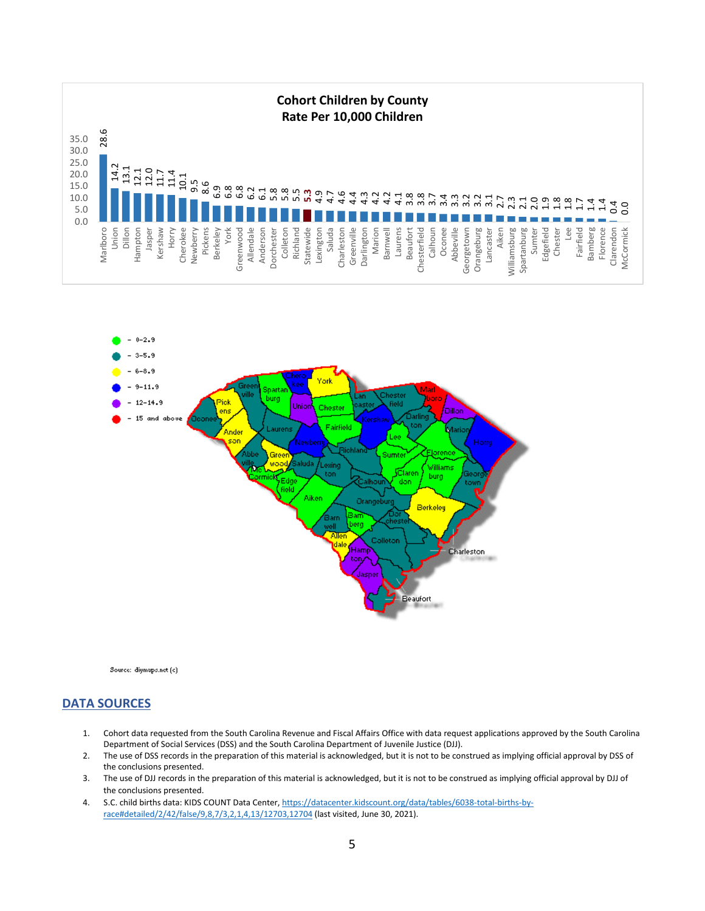



- 1. Cohort data requested from the South Carolina Revenue and Fiscal Affairs Office with data request applications approved by the South Carolina Department of Social Services (DSS) and the South Carolina Department of Juvenile Justice (DJJ).
- 2. The use of DSS records in the preparation of this material is acknowledged, but it is not to be construed as implying official approval by DSS of the conclusions presented.
- 3. The use of DJJ records in the preparation of this material is acknowledged, but it is not to be construed as implying official approval by DJJ of the conclusions presented.
- 4. S.C. child births data: KIDS COUNT Data Center[, https://datacenter.kidscount.org/data/tables/6038-total-births-by-](https://datacenter.kidscount.org/data/tables/6038-total-births-by-race#detailed/2/42/false/9,8,7/3,2,1,4,13/12703,12704)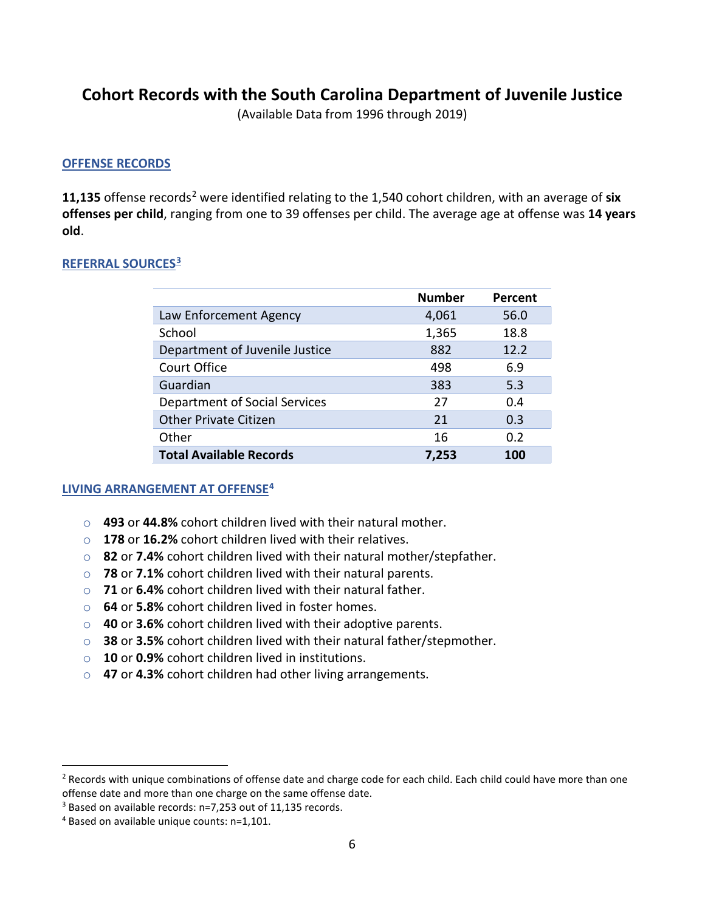### <span id="page-8-0"></span>**Cohort Records with the South Carolina Department of Juvenile Justice**

(Available Data from 1996 through 2019)

#### **OFFENSE RECORDS**

**11,135** offense records[2](#page-8-1) were identified relating to the 1,540 cohort children, with an average of **six offenses per child**, ranging from one to 39 offenses per child. The average age at offense was **14 years old**.

#### **REFERRAL SOURCES[3](#page-8-2)**

|                                | <b>Number</b> | Percent |
|--------------------------------|---------------|---------|
| Law Enforcement Agency         | 4,061         | 56.0    |
| School                         | 1,365         | 18.8    |
| Department of Juvenile Justice | 882           | 12.2    |
| Court Office                   | 498           | 6.9     |
| Guardian                       | 383           | 5.3     |
| Department of Social Services  | 27            | 0.4     |
| <b>Other Private Citizen</b>   | 21            | 0.3     |
| Other                          | 16            | 0.2     |
| <b>Total Available Records</b> | 7,253         | 100     |

#### **LIVING ARRANGEMENT AT OFFENSE[4](#page-8-3)**

- o **493** or **44.8%** cohort children lived with their natural mother.
- o **178** or **16.2%** cohort children lived with their relatives.
- o **82** or **7.4%** cohort children lived with their natural mother/stepfather.
- o **78** or **7.1%** cohort children lived with their natural parents.
- o **71** or **6.4%** cohort children lived with their natural father.
- o **64** or **5.8%** cohort children lived in foster homes.
- o **40** or **3.6%** cohort children lived with their adoptive parents.
- o **38** or **3.5%** cohort children lived with their natural father/stepmother.
- o **10** or **0.9%** cohort children lived in institutions.
- o **47** or **4.3%** cohort children had other living arrangements.

<span id="page-8-1"></span><sup>&</sup>lt;sup>2</sup> Records with unique combinations of offense date and charge code for each child. Each child could have more than one offense date and more than one charge on the same offense date.

<span id="page-8-2"></span><sup>3</sup> Based on available records: n=7,253 out of 11,135 records.

<span id="page-8-3"></span><sup>4</sup> Based on available unique counts: n=1,101.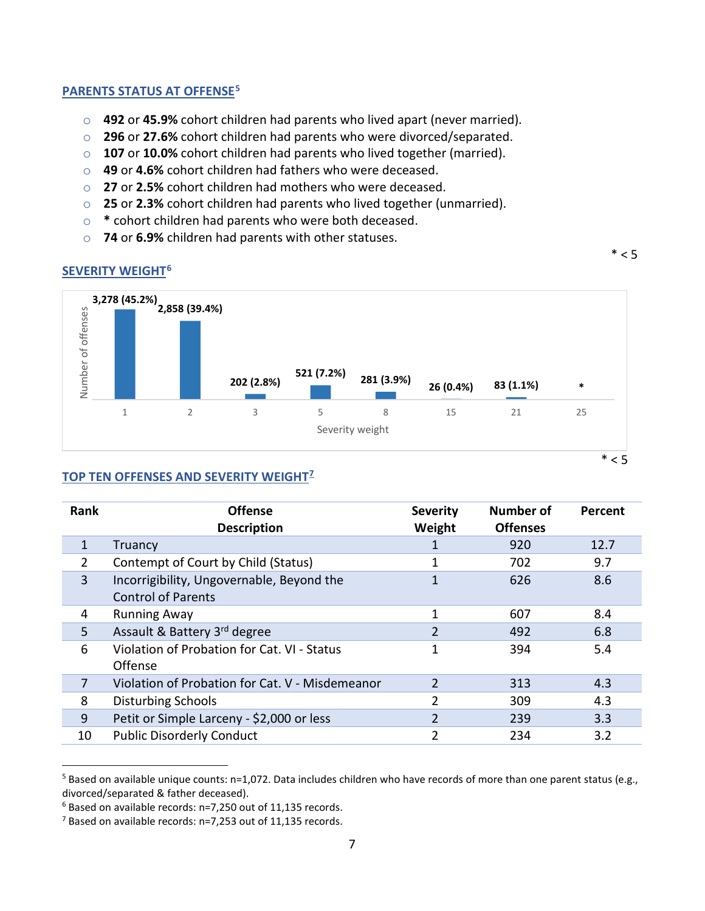#### **PARENTS STATUS AT OFFENSE[5](#page-9-0)**

- o **492** or **45.9%** cohort children had parents who lived apart (never married).
- o **296** or **27.6%** cohort children had parents who were divorced/separated.
- o **107** or **10.0%** cohort children had parents who lived together (married).
- o **49** or **4.6%** cohort children had fathers who were deceased.
- o **27** or **2.5%** cohort children had mothers who were deceased.
- o **25** or **2.3%** cohort children had parents who lived together (unmarried).
- o **\*** cohort children had parents who were both deceased.
- o **74** or **6.9%** children had parents with other statuses.

 $*$  < 5

#### **SEVERITY WEIGHT[6](#page-9-1)**



 $*$  < 5

#### **TOP TEN OFFENSES AND SEVERITY WEIGHT[7](#page-9-2)**

| Rank         | <b>Offense</b><br><b>Description</b>                                   | <b>Severity</b><br>Weight | <b>Number of</b><br><b>Offenses</b> | Percent |
|--------------|------------------------------------------------------------------------|---------------------------|-------------------------------------|---------|
| $\mathbf{1}$ | Truancy                                                                |                           | 920                                 | 12.7    |
| 2            | Contempt of Court by Child (Status)                                    |                           | 702                                 | 9.7     |
| 3            | Incorrigibility, Ungovernable, Beyond the<br><b>Control of Parents</b> |                           | 626                                 | 8.6     |
| 4            | <b>Running Away</b>                                                    |                           | 607                                 | 8.4     |
| 5            | Assault & Battery 3 <sup>rd</sup> degree                               | $\overline{2}$            | 492                                 | 6.8     |
| 6            | Violation of Probation for Cat. VI - Status<br>Offense                 | 1                         | 394                                 | 5.4     |
| 7            | Violation of Probation for Cat. V - Misdemeanor                        | $\overline{2}$            | 313                                 | 4.3     |
| 8            | Disturbing Schools                                                     | 2                         | 309                                 | 4.3     |
| 9            | Petit or Simple Larceny - \$2,000 or less                              | $\overline{2}$            | 239                                 | 3.3     |
| 10           | <b>Public Disorderly Conduct</b>                                       | 2                         | 234                                 | 3.2     |

<span id="page-9-0"></span> $5$  Based on available unique counts: n=1,072. Data includes children who have records of more than one parent status (e.g., divorced/separated & father deceased).

<span id="page-9-1"></span><sup>6</sup> Based on available records: n=7,250 out of 11,135 records.

<span id="page-9-2"></span><sup>7</sup> Based on available records: n=7,253 out of 11,135 records.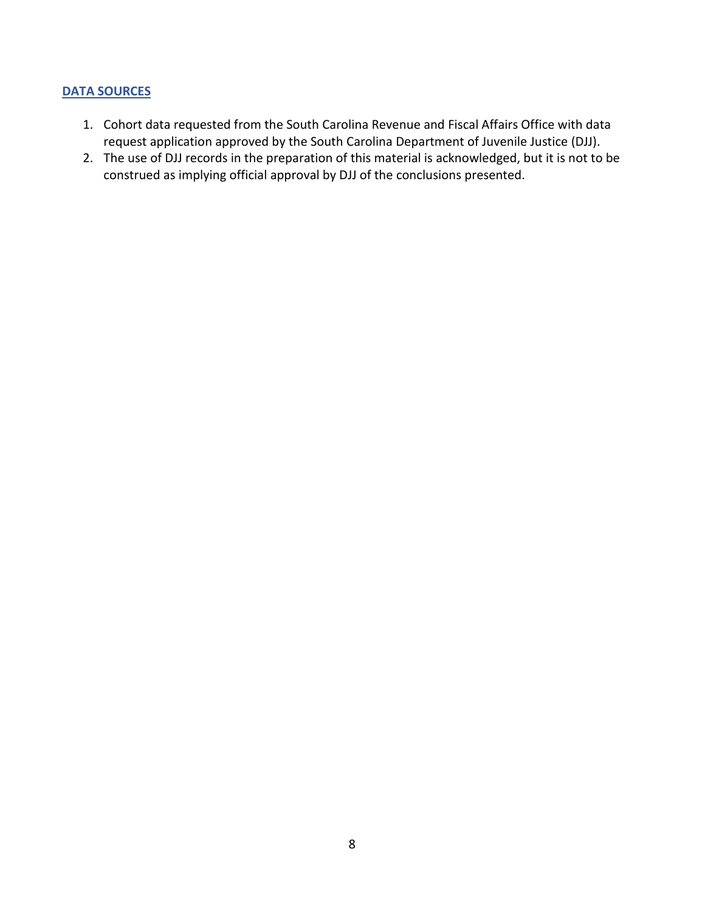- 1. Cohort data requested from the South Carolina Revenue and Fiscal Affairs Office with data request application approved by the South Carolina Department of Juvenile Justice (DJJ).
- 2. The use of DJJ records in the preparation of this material is acknowledged, but it is not to be construed as implying official approval by DJJ of the conclusions presented.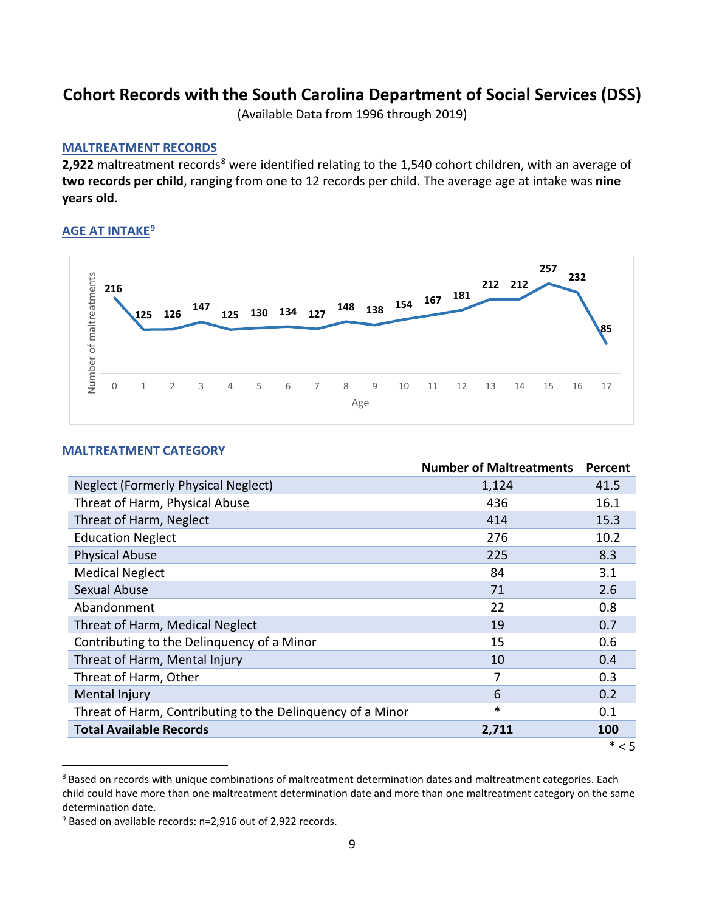### <span id="page-11-0"></span>**Cohort Records with the South Carolina Department of Social Services (DSS)**

(Available Data from 1996 through 2019)

#### **MALTREATMENT RECORDS**

2,922 maltreatment records<sup>[8](#page-11-1)</sup> were identified relating to the 1,540 cohort children, with an average of **two records per child**, ranging from one to 12 records per child. The average age at intake was **nine years old**.

#### **AGE AT INTAKE[9](#page-11-2)**



#### **MALTREATMENT CATEGORY**

|                                                            | <b>Number of Maltreatments</b> | Percent |
|------------------------------------------------------------|--------------------------------|---------|
| Neglect (Formerly Physical Neglect)                        | 1,124                          | 41.5    |
| Threat of Harm, Physical Abuse                             | 436                            | 16.1    |
| Threat of Harm, Neglect                                    | 414                            | 15.3    |
| <b>Education Neglect</b>                                   | 276                            | 10.2    |
| <b>Physical Abuse</b>                                      | 225                            | 8.3     |
| <b>Medical Neglect</b>                                     | 84                             | 3.1     |
| <b>Sexual Abuse</b>                                        | 71                             | 2.6     |
| Abandonment                                                | 22                             | 0.8     |
| Threat of Harm, Medical Neglect                            | 19                             | 0.7     |
| Contributing to the Delinguency of a Minor                 | 15                             | 0.6     |
| Threat of Harm, Mental Injury                              | 10                             | 0.4     |
| Threat of Harm, Other                                      | 7                              | 0.3     |
| Mental Injury                                              | 6                              | 0.2     |
| Threat of Harm, Contributing to the Delinquency of a Minor | *                              | 0.1     |
| <b>Total Available Records</b>                             | 2,711                          | 100     |
|                                                            |                                | $* < 5$ |

<span id="page-11-1"></span><sup>&</sup>lt;sup>8</sup> Based on records with unique combinations of maltreatment determination dates and maltreatment categories. Each child could have more than one maltreatment determination date and more than one maltreatment category on the same determination date.

<span id="page-11-2"></span> $9$  Based on available records: n=2,916 out of 2,922 records.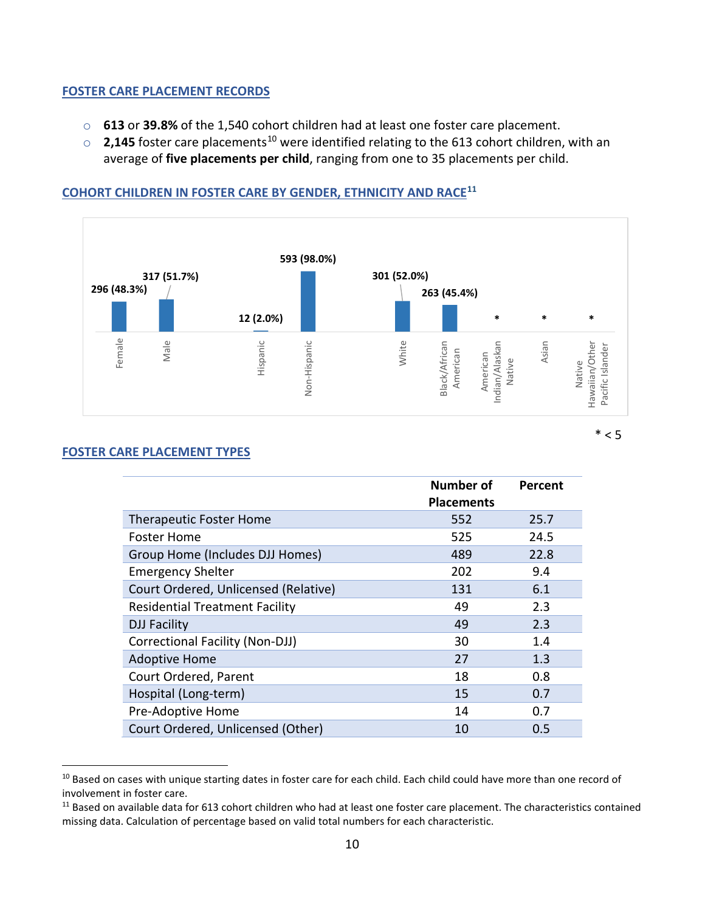#### **FOSTER CARE PLACEMENT RECORDS**

- o **613** or **39.8%** of the 1,540 cohort children had at least one foster care placement.
- **2,145** foster care placements<sup>[10](#page-12-0)</sup> were identified relating to the 613 cohort children, with an average of **five placements per child**, ranging from one to 35 placements per child.

#### **593 (98.0%) 317 (51.7%) 301 (52.0%) 296 (48.3%) 263 (45.4%) 12 (2.0%) \* \* \*** Female Male White Indian/Alaskan Asian Hispanic Non-Hispanic Black/African Hawaiian/Other Non-Hispanic Hawaiian/Other Black/African Indian/Alaskan Pacific Islander Pacific IslanderAmerican American American American Native Native

 $*$  < 5

#### **COHORT CHILDREN IN FOSTER CARE BY GENDER, ETHNICITY AND RACE[11](#page-12-1)**

#### **FOSTER CARE PLACEMENT TYPES**

|                                        | <b>Number of</b>  | Percent |
|----------------------------------------|-------------------|---------|
|                                        | <b>Placements</b> |         |
| <b>Therapeutic Foster Home</b>         | 552               | 25.7    |
| <b>Foster Home</b>                     | 525               | 24.5    |
| Group Home (Includes DJJ Homes)        | 489               | 22.8    |
| <b>Emergency Shelter</b>               | 202               | 9.4     |
| Court Ordered, Unlicensed (Relative)   | 131               | 6.1     |
| <b>Residential Treatment Facility</b>  | 49                | 2.3     |
| <b>DJJ Facility</b>                    | 49                | 2.3     |
| <b>Correctional Facility (Non-DJJ)</b> | 30                | 1.4     |
| <b>Adoptive Home</b>                   | 27                | 1.3     |
| Court Ordered, Parent                  | 18                | 0.8     |
| Hospital (Long-term)                   | 15                | 0.7     |
| Pre-Adoptive Home                      | 14                | 0.7     |
| Court Ordered, Unlicensed (Other)      | 10                | 0.5     |

<span id="page-12-0"></span><sup>&</sup>lt;sup>10</sup> Based on cases with unique starting dates in foster care for each child. Each child could have more than one record of involvement in foster care.

<span id="page-12-1"></span><sup>&</sup>lt;sup>11</sup> Based on available data for 613 cohort children who had at least one foster care placement. The characteristics contained missing data. Calculation of percentage based on valid total numbers for each characteristic.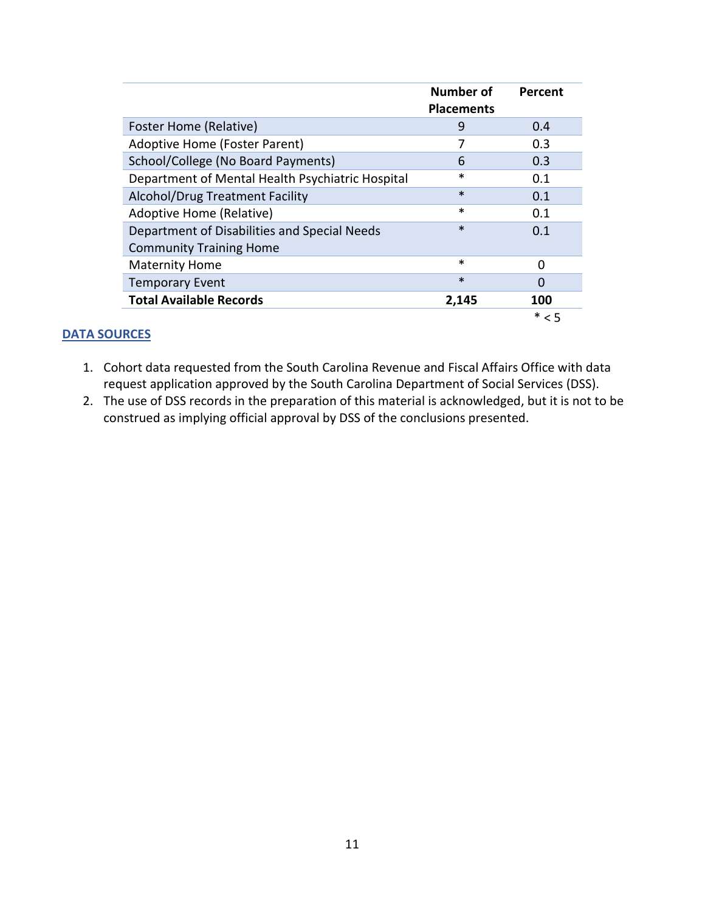|                                                  | Number of<br><b>Placements</b> | Percent |
|--------------------------------------------------|--------------------------------|---------|
| Foster Home (Relative)                           | 9                              | 0.4     |
| Adoptive Home (Foster Parent)                    |                                | 0.3     |
| School/College (No Board Payments)               | 6                              | 0.3     |
| Department of Mental Health Psychiatric Hospital | *                              | 0.1     |
| Alcohol/Drug Treatment Facility                  | $\ast$                         | 0.1     |
| Adoptive Home (Relative)                         | *                              | 0.1     |
| Department of Disabilities and Special Needs     | $\ast$                         | 0.1     |
| <b>Community Training Home</b>                   |                                |         |
| <b>Maternity Home</b>                            | $\ast$                         | O       |
| <b>Temporary Event</b>                           | $\ast$                         | O       |
| <b>Total Available Records</b>                   | 2,145                          | 100     |
|                                                  |                                | $*$ < 5 |

- 1. Cohort data requested from the South Carolina Revenue and Fiscal Affairs Office with data request application approved by the South Carolina Department of Social Services (DSS).
- 2. The use of DSS records in the preparation of this material is acknowledged, but it is not to be construed as implying official approval by DSS of the conclusions presented.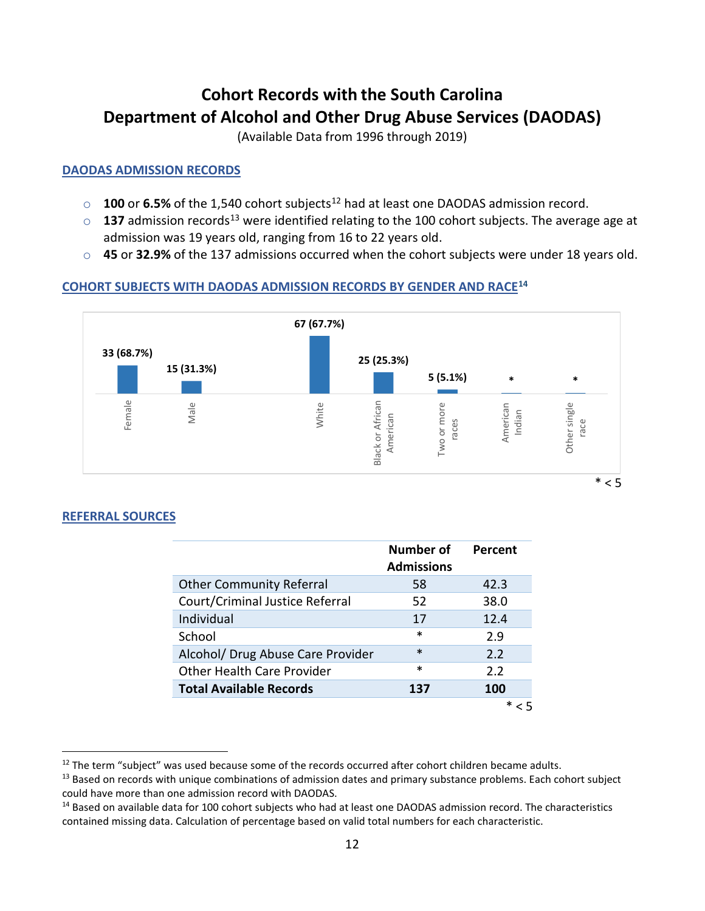### <span id="page-14-0"></span>**Cohort Records with the South Carolina Department of Alcohol and Other Drug Abuse Services (DAODAS)**

(Available Data from 1996 through 2019)

#### **DAODAS ADMISSION RECORDS**

- o **100** or **6.5%** of the 1,540 cohort subjects<sup>[12](#page-14-1)</sup> had at least one DAODAS admission record.
- $\circ$  **[13](#page-14-2)7** admission records<sup>13</sup> were identified relating to the 100 cohort subjects. The average age at admission was 19 years old, ranging from 16 to 22 years old.
- o **45** or **32.9%** of the 137 admissions occurred when the cohort subjects were under 18 years old.

### **COHORT SUBJECTS WITH DAODAS ADMISSION RECORDS BY GENDER AND RAC[E14](#page-14-3)**



#### **REFERRAL SOURCES**

|                                   | Number of<br><b>Admissions</b> | Percent    |
|-----------------------------------|--------------------------------|------------|
| <b>Other Community Referral</b>   | 58                             | 42.3       |
| Court/Criminal Justice Referral   | 52                             | 38.0       |
| Individual                        | 17                             | 12.4       |
| School                            | $\ast$                         | 2.9        |
| Alcohol/ Drug Abuse Care Provider | $\ast$                         | 2.2        |
| <b>Other Health Care Provider</b> | $\ast$                         | 2.2        |
| <b>Total Available Records</b>    | 137                            | <b>100</b> |
|                                   |                                |            |

<span id="page-14-1"></span><sup>&</sup>lt;sup>12</sup> The term "subject" was used because some of the records occurred after cohort children became adults.<br><sup>13</sup> Based on records with unique combinations of admission dates and primary substance problems. Each cohort subj

<span id="page-14-2"></span>could have more than one admission record with DAODAS.

<span id="page-14-3"></span><sup>&</sup>lt;sup>14</sup> Based on available data for 100 cohort subjects who had at least one DAODAS admission record. The characteristics contained missing data. Calculation of percentage based on valid total numbers for each characteristic.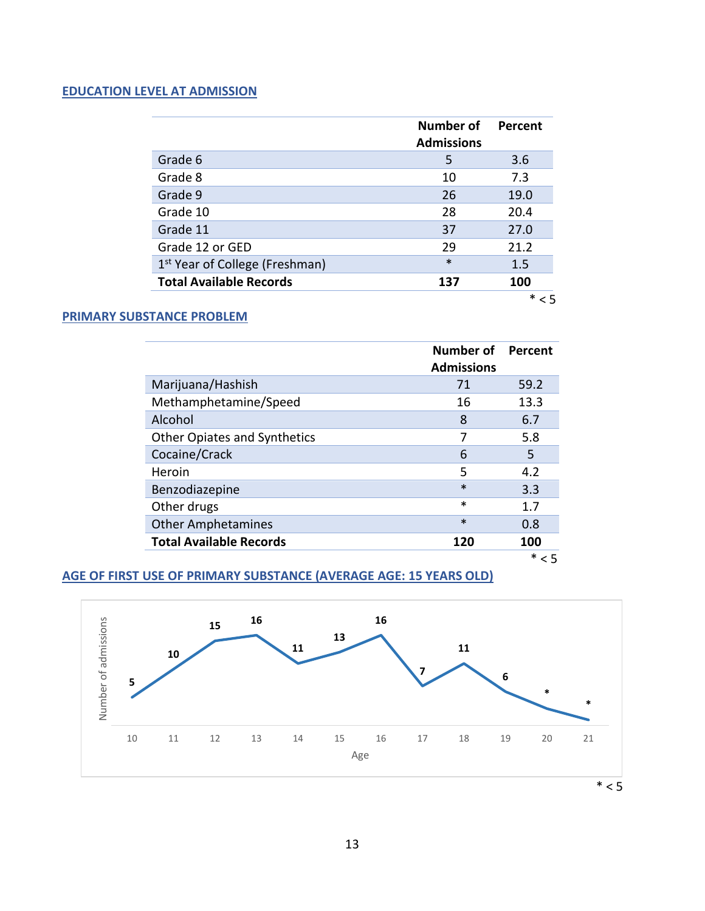#### **EDUCATION LEVEL AT ADMISSION**

|                                            | <b>Number of</b><br><b>Admissions</b> | Percent |
|--------------------------------------------|---------------------------------------|---------|
| Grade 6                                    | 5                                     | 3.6     |
| Grade 8                                    | 10                                    | 7.3     |
| Grade 9                                    | 26                                    | 19.0    |
| Grade 10                                   | 28                                    | 20.4    |
| Grade 11                                   | 37                                    | 27.0    |
| Grade 12 or GED                            | 29                                    | 21.2    |
| 1 <sup>st</sup> Year of College (Freshman) | $\ast$                                | 1.5     |
| <b>Total Available Records</b>             | 137                                   | 100     |
|                                            |                                       |         |

#### **PRIMARY SUBSTANCE PROBLEM**

|                                     | Number of<br><b>Admissions</b> | Percent |
|-------------------------------------|--------------------------------|---------|
| Marijuana/Hashish                   | 71                             | 59.2    |
| Methamphetamine/Speed               | 16                             | 13.3    |
| Alcohol                             | 8                              | 6.7     |
| <b>Other Opiates and Synthetics</b> | 7                              | 5.8     |
| Cocaine/Crack                       | 6                              | 5       |
| Heroin                              | 5                              | 4.2     |
| Benzodiazepine                      | $\ast$                         | 3.3     |
| Other drugs                         | *                              | 1.7     |
| <b>Other Amphetamines</b>           | $\ast$                         | 0.8     |
| <b>Total Available Records</b>      | 120                            | 100     |
|                                     |                                | $* < 5$ |

#### **AGE OF FIRST USE OF PRIMARY SUBSTANCE (AVERAGE AGE: 15 YEARS OLD)**

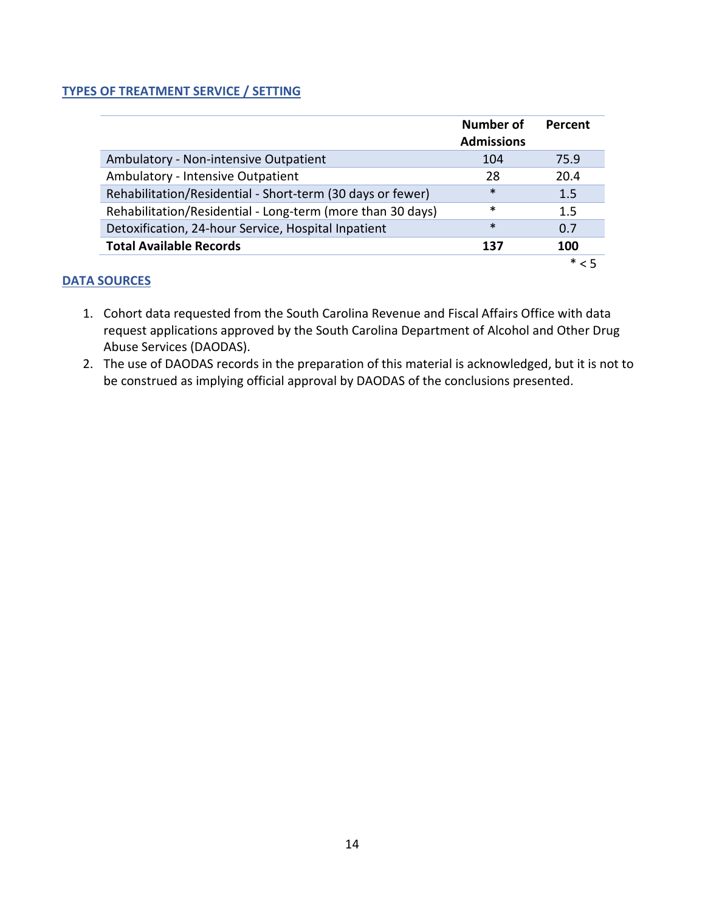#### **TYPES OF TREATMENT SERVICE / SETTING**

|                                                            | Number of<br><b>Admissions</b> | Percent |
|------------------------------------------------------------|--------------------------------|---------|
| Ambulatory - Non-intensive Outpatient                      | 104                            | 75.9    |
| Ambulatory - Intensive Outpatient                          | 28                             | 20.4    |
| Rehabilitation/Residential - Short-term (30 days or fewer) | $\ast$                         | 1.5     |
| Rehabilitation/Residential - Long-term (more than 30 days) | $\ast$                         | 1.5     |
| Detoxification, 24-hour Service, Hospital Inpatient        | $\ast$                         | 0.7     |
| <b>Total Available Records</b>                             | 137                            | 100     |
|                                                            |                                | ∗       |

- 1. Cohort data requested from the South Carolina Revenue and Fiscal Affairs Office with data request applications approved by the South Carolina Department of Alcohol and Other Drug Abuse Services (DAODAS).
- 2. The use of DAODAS records in the preparation of this material is acknowledged, but it is not to be construed as implying official approval by DAODAS of the conclusions presented.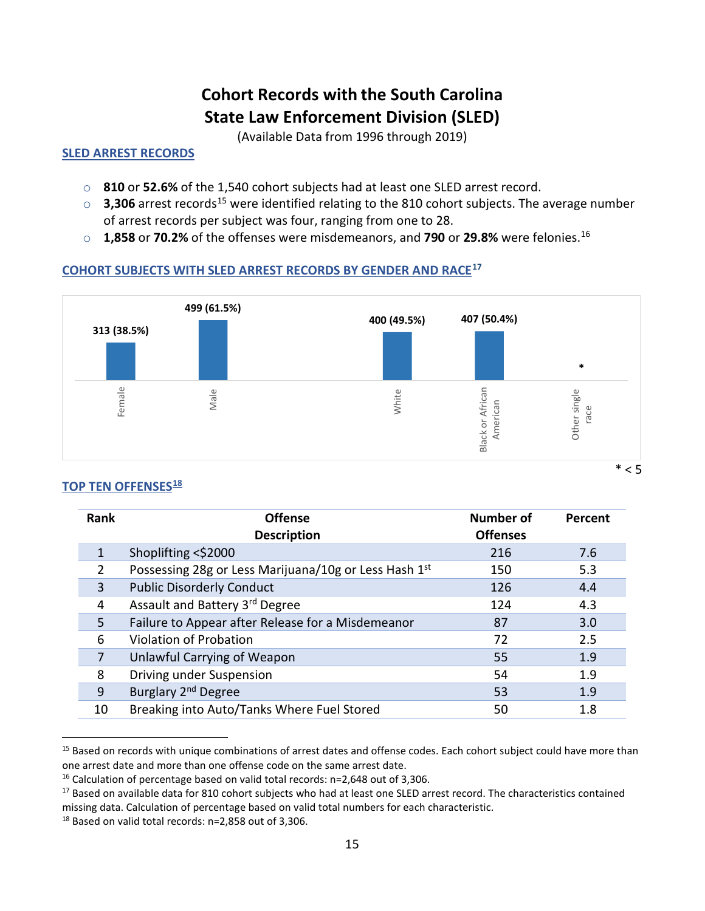## **Cohort Records with the South Carolina State Law Enforcement Division (SLED)**

(Available Data from 1996 through 2019)

#### <span id="page-17-0"></span>**SLED ARREST RECORDS**

- o **810** or **52.6%** of the 1,540 cohort subjects had at least one SLED arrest record.
- $\circ$  **3,306** arrest records<sup>[15](#page-17-1)</sup> were identified relating to the 810 cohort subjects. The average number of arrest records per subject was four, ranging from one to 28.
- o **1,858** or **70.2%** of the offenses were misdemeanors, and **790** or **29.8%** were felonies.[16](#page-17-2)

### **COHORT SUBJECTS WITH SLED ARREST RECORDS BY GENDER AND RACE[17](#page-17-3)**



#### **TOP TEN OFFENSES[18](#page-17-4)**

| Rank | <b>Offense</b><br><b>Description</b>                  | <b>Number of</b><br><b>Offenses</b> | Percent |
|------|-------------------------------------------------------|-------------------------------------|---------|
| 1    | Shoplifting <\$2000                                   | 216                                 | 7.6     |
| 2    | Possessing 28g or Less Marijuana/10g or Less Hash 1st | 150                                 | 5.3     |
| 3    | <b>Public Disorderly Conduct</b>                      | 126                                 | 4.4     |
| 4    | Assault and Battery 3rd Degree                        | 124                                 | 4.3     |
| 5    | Failure to Appear after Release for a Misdemeanor     | 87                                  | 3.0     |
| 6    | Violation of Probation                                | 72                                  | 2.5     |
| 7    | Unlawful Carrying of Weapon                           | 55                                  | 1.9     |
| 8    | Driving under Suspension                              | 54                                  | 1.9     |
| 9    | Burglary 2 <sup>nd</sup> Degree                       | 53                                  | 1.9     |
| 10   | Breaking into Auto/Tanks Where Fuel Stored            | 50                                  | 1.8     |

<span id="page-17-1"></span><sup>&</sup>lt;sup>15</sup> Based on records with unique combinations of arrest dates and offense codes. Each cohort subject could have more than one arrest date and more than one offense code on the same arrest date.<br><sup>16</sup> Calculation of percentage based on valid total records: n=2,648 out of 3,306.

<span id="page-17-2"></span>

<span id="page-17-3"></span><sup>&</sup>lt;sup>17</sup> Based on available data for 810 cohort subjects who had at least one SLED arrest record. The characteristics contained missing data. Calculation of percentage based on valid total numbers for each characteristic.  $18$  Based on valid total records: n=2,858 out of 3,306.

<span id="page-17-4"></span>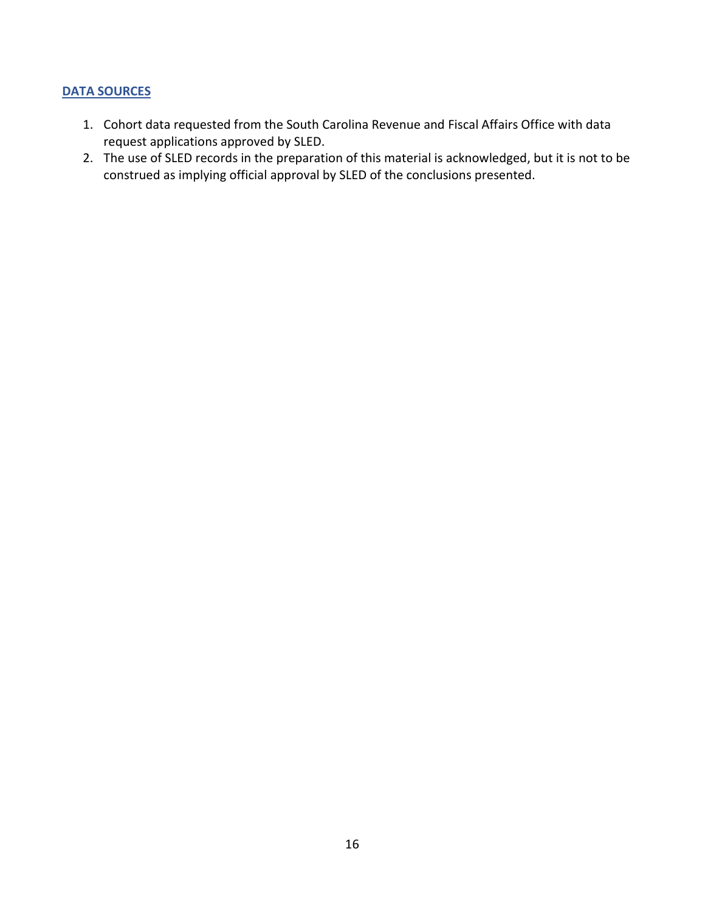- 1. Cohort data requested from the South Carolina Revenue and Fiscal Affairs Office with data request applications approved by SLED.
- 2. The use of SLED records in the preparation of this material is acknowledged, but it is not to be construed as implying official approval by SLED of the conclusions presented.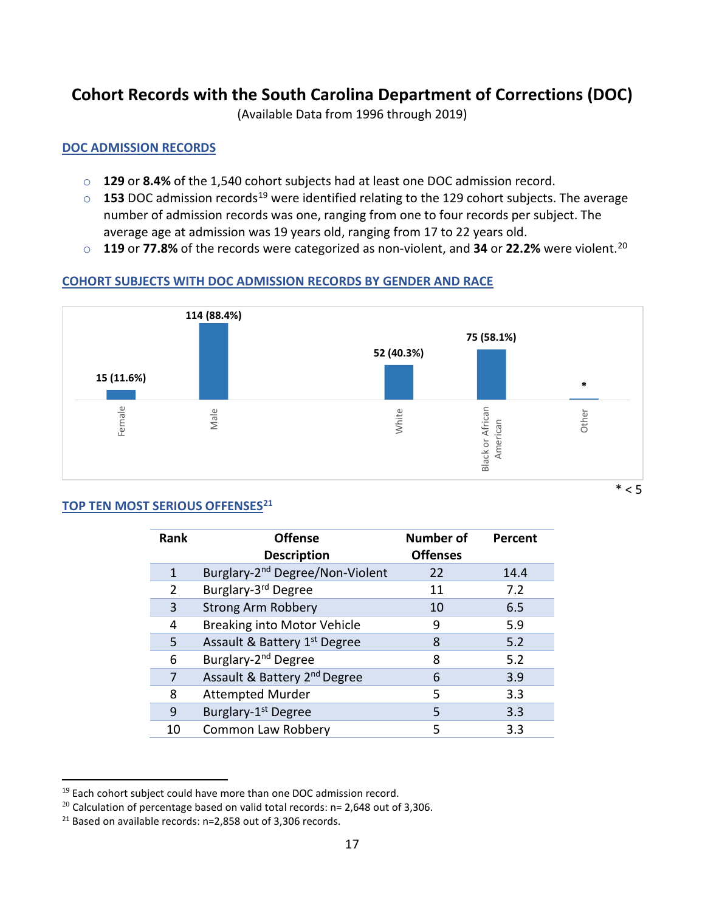### <span id="page-19-0"></span>**Cohort Records with the South Carolina Department of Corrections (DOC)**

(Available Data from 1996 through 2019)

#### **DOC ADMISSION RECORDS**

- o **129** or **8.4%** of the 1,540 cohort subjects had at least one DOC admission record.
- o **153** DOC admission records<sup>[19](#page-19-1)</sup> were identified relating to the 129 cohort subjects. The average number of admission records was one, ranging from one to four records per subject. The average age at admission was 19 years old, ranging from 17 to 22 years old.
- o **119** or **77.8%** of the records were categorized as non-violent, and **34** or **22.2%** were violent. [20](#page-19-2)

#### **COHORT SUBJECTS WITH DOC ADMISSION RECORDS BY GENDER AND RACE**



#### **TOP TEN MOST SERIOUS OFFENSES[21](#page-19-3)**

| <b>Rank</b> | <b>Offense</b><br><b>Description</b>        | <b>Number of</b><br><b>Offenses</b> | Percent |
|-------------|---------------------------------------------|-------------------------------------|---------|
| 1           | Burglary-2 <sup>nd</sup> Degree/Non-Violent | 22                                  | 14.4    |
| 2           | Burglary-3rd Degree                         | 11                                  | 7.2     |
| 3           | <b>Strong Arm Robbery</b>                   | 10                                  | 6.5     |
| 4           | <b>Breaking into Motor Vehicle</b>          | 9                                   | 5.9     |
| 5           | Assault & Battery 1st Degree                | 8                                   | 5.2     |
| 6           | Burglary-2 <sup>nd</sup> Degree             | 8                                   | 5.2     |
|             | Assault & Battery 2 <sup>nd</sup> Degree    | 6                                   | 3.9     |
| 8           | <b>Attempted Murder</b>                     | 5                                   | 3.3     |
| 9           | Burglary-1 <sup>st</sup> Degree             | 5                                   | 3.3     |
| 10          | Common Law Robbery                          | 5                                   | 3.3     |

<span id="page-19-1"></span> $19$  Each cohort subject could have more than one DOC admission record.

<span id="page-19-2"></span> $20$  Calculation of percentage based on valid total records: n= 2,648 out of 3,306.

<span id="page-19-3"></span><sup>21</sup> Based on available records: n=2,858 out of 3,306 records.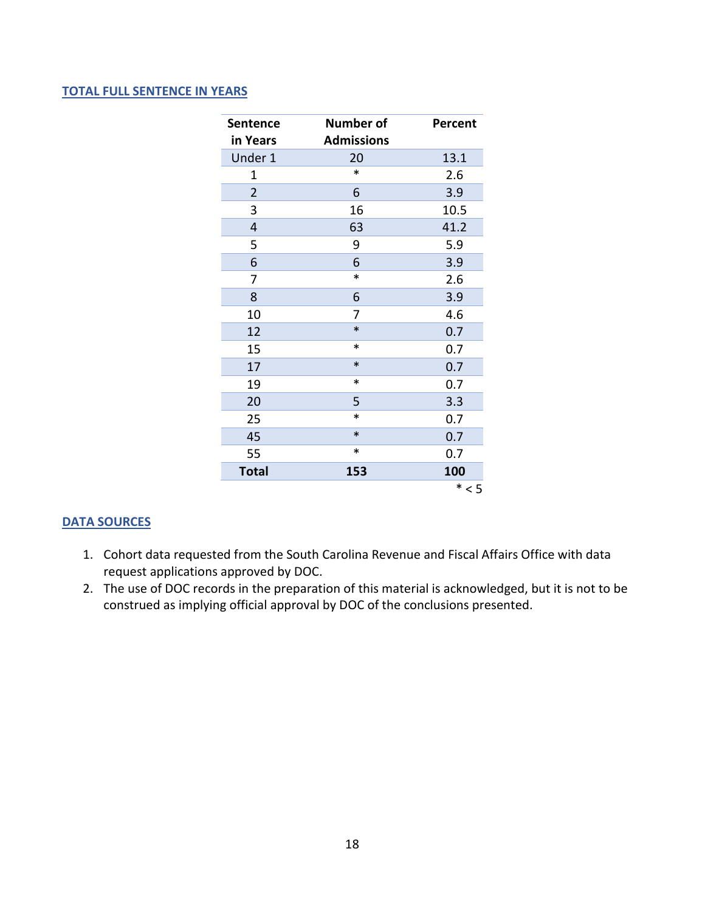#### **TOTAL FULL SENTENCE IN YEARS**

| Sentence<br>in Years | <b>Number of</b><br><b>Admissions</b> | Percent |
|----------------------|---------------------------------------|---------|
|                      |                                       |         |
| Under 1              | 20<br>$\ast$                          | 13.1    |
| $\mathbf 1$          |                                       | 2.6     |
| $\overline{2}$       | 6                                     | 3.9     |
| 3                    | 16                                    | 10.5    |
| 4                    | 63                                    | 41.2    |
| 5                    | 9                                     | 5.9     |
| 6                    | 6                                     | 3.9     |
| 7                    | $\ast$                                | 2.6     |
| 8                    | 6                                     | 3.9     |
| 10                   | 7                                     | 4.6     |
| 12                   | $\ast$                                | 0.7     |
| 15                   | $\ast$                                | 0.7     |
| 17                   | $\ast$                                | 0.7     |
| 19                   | $\ast$                                | 0.7     |
| 20                   | 5                                     | 3.3     |
| 25                   | $\ast$                                | 0.7     |
| 45                   | $\ast$                                | 0.7     |
| 55                   | $\ast$                                | 0.7     |
| <b>Total</b>         | 153                                   | 100     |
|                      |                                       | $* < 5$ |

- 1. Cohort data requested from the South Carolina Revenue and Fiscal Affairs Office with data request applications approved by DOC.
- 2. The use of DOC records in the preparation of this material is acknowledged, but it is not to be construed as implying official approval by DOC of the conclusions presented.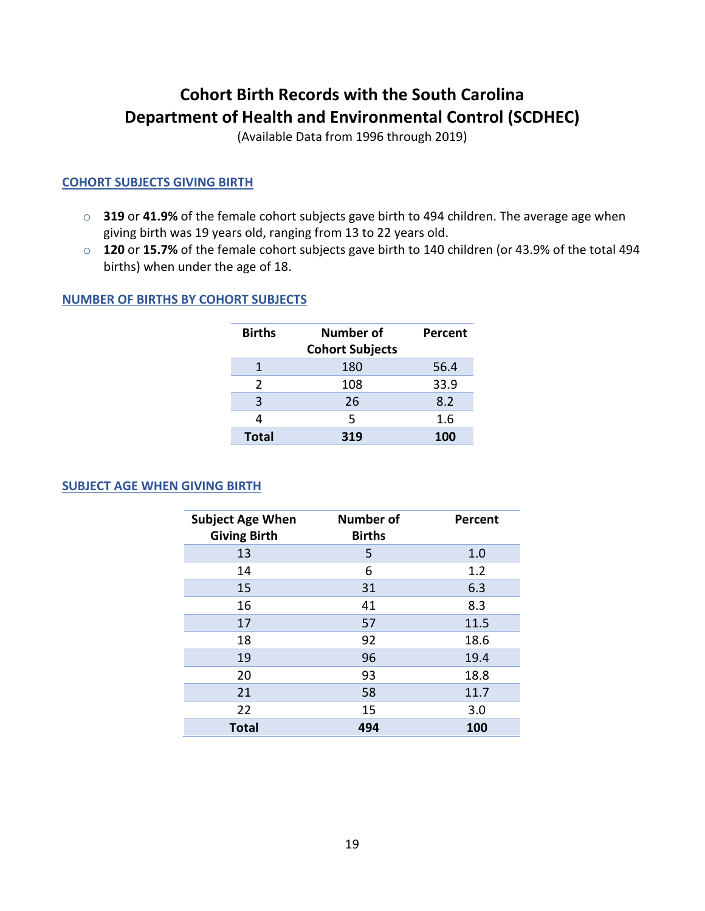### <span id="page-21-0"></span>**Cohort Birth Records with the South Carolina Department of Health and Environmental Control (SCDHEC)**

(Available Data from 1996 through 2019)

#### **COHORT SUBJECTS GIVING BIRTH**

- o **319** or **41.9%** of the female cohort subjects gave birth to 494 children. The average age when giving birth was 19 years old, ranging from 13 to 22 years old.
- o **120** or **15.7%** of the female cohort subjects gave birth to 140 children (or 43.9% of the total 494 births) when under the age of 18.

#### **NUMBER OF BIRTHS BY COHORT SUBJECTS**

| <b>Births</b> | Number of<br><b>Cohort Subjects</b> | Percent |
|---------------|-------------------------------------|---------|
|               | 180                                 | 56.4    |
| $\mathcal{P}$ | 108                                 | 33.9    |
| 3             | 26                                  | 8.2     |
|               | 5                                   | 1.6     |
| <b>Total</b>  | 319                                 | 100     |

#### **SUBJECT AGE WHEN GIVING BIRTH**

| <b>Subject Age When</b><br><b>Giving Birth</b> | <b>Number of</b><br><b>Births</b> | Percent |
|------------------------------------------------|-----------------------------------|---------|
| 13                                             | 5                                 | 1.0     |
| 14                                             | 6                                 | 1.2     |
| 15                                             | 31                                | 6.3     |
| 16                                             | 41                                | 8.3     |
| 17                                             | 57                                | 11.5    |
| 18                                             | 92                                | 18.6    |
| 19                                             | 96                                | 19.4    |
| 20                                             | 93                                | 18.8    |
| 21                                             | 58                                | 11.7    |
| 22                                             | 15                                | 3.0     |
| <b>Total</b>                                   | 494                               | 100     |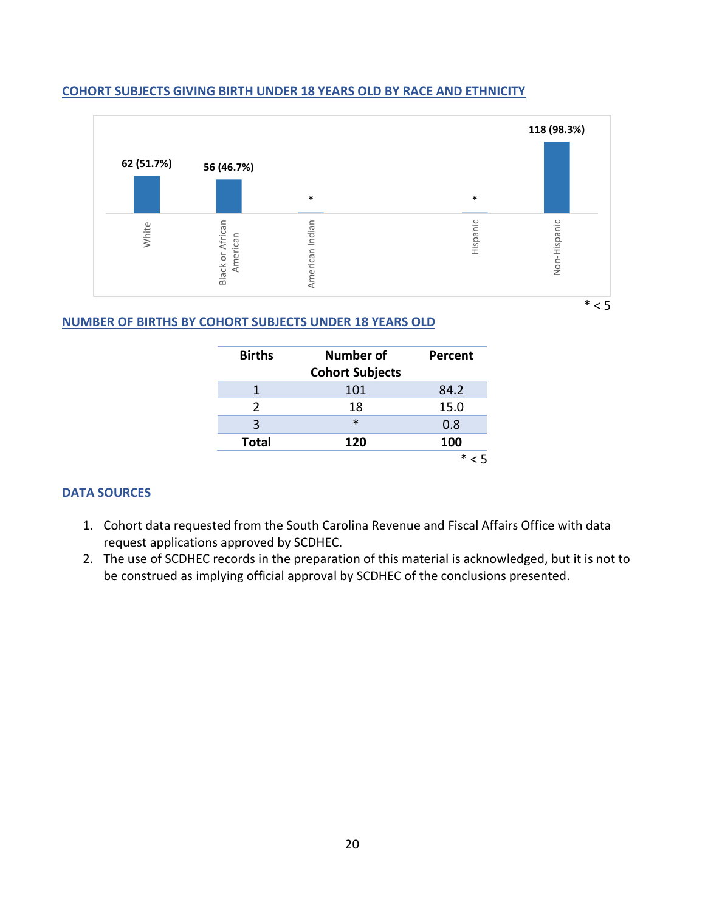

#### **COHORT SUBJECTS GIVING BIRTH UNDER 18 YEARS OLD BY RACE AND ETHNICITY**

#### **NUMBER OF BIRTHS BY COHORT SUBJECTS UNDER 18 YEARS OLD**

| <b>Births</b> | Number of              | Percent |
|---------------|------------------------|---------|
|               | <b>Cohort Subjects</b> |         |
|               | 101                    | 84.2    |
| $\mathcal{P}$ | 18                     | 15.0    |
| 3             | $\ast$                 | 0.8     |
| <b>Total</b>  | 120                    | 100     |
|               |                        | $\ast$  |

- 1. Cohort data requested from the South Carolina Revenue and Fiscal Affairs Office with data request applications approved by SCDHEC.
- 2. The use of SCDHEC records in the preparation of this material is acknowledged, but it is not to be construed as implying official approval by SCDHEC of the conclusions presented.